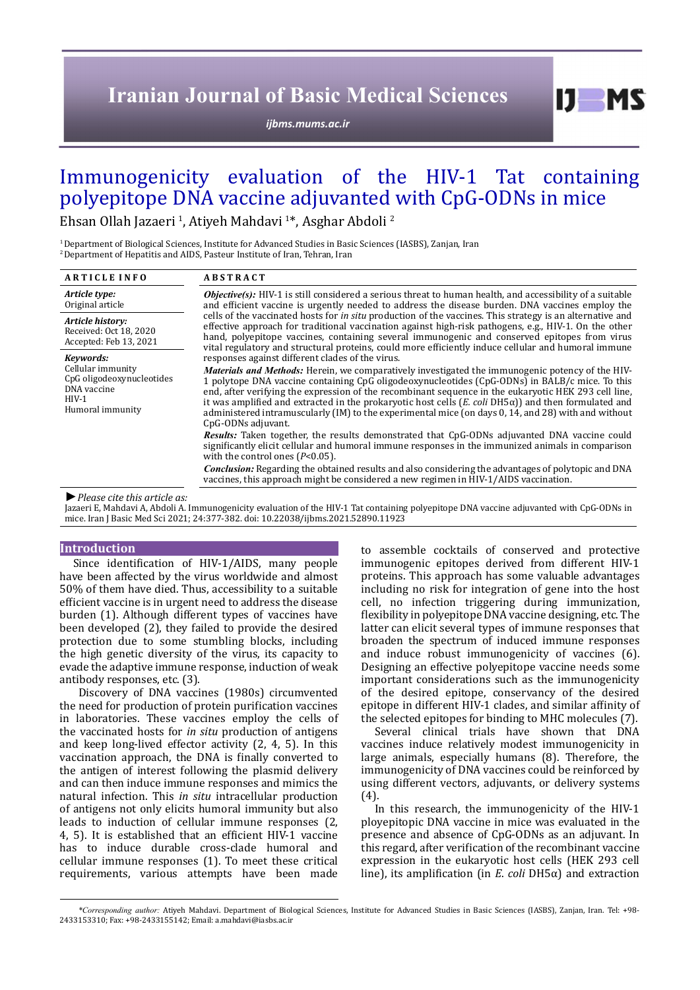# **Iranian Journal of Basic Medical Sciences**

*[ijbms.mums.ac.ir](http://ijbms.mums.ac.ir)*

# Immunogenicity evaluation of the HIV-1 Tat containing polyepitope DNA vaccine adjuvanted with CpG-ODNs in mice

Ehsan Ollah Jazaeri <sup>1</sup>, Atiyeh Mahdavi <sup>1</sup>\*, Asghar Abdoli <sup>2</sup>

<sup>1</sup> Department of Biological Sciences, Institute for Advanced Studies in Basic Sciences (IASBS), Zanjan, Iran <sup>2</sup> Department of Hepatitis and AIDS. Pasteur Institute of Iran, Tehran, Iran

| <b>ARTICLE INFO</b>                                                                                       | <b>ABSTRACT</b>                                                                                                                                                                                                                                                                                                                                                                                                                                                                                                                                                                                                                                                 |
|-----------------------------------------------------------------------------------------------------------|-----------------------------------------------------------------------------------------------------------------------------------------------------------------------------------------------------------------------------------------------------------------------------------------------------------------------------------------------------------------------------------------------------------------------------------------------------------------------------------------------------------------------------------------------------------------------------------------------------------------------------------------------------------------|
| Article type:<br>Original article                                                                         | <b><i>Objective(s)</i></b> : HIV-1 is still considered a serious threat to human health, and accessibility of a suitable<br>and efficient vaccine is urgently needed to address the disease burden. DNA vaccines employ the<br>cells of the vaccinated hosts for <i>in situ</i> production of the vaccines. This strategy is an alternative and<br>effective approach for traditional vaccination against high-risk pathogens, e.g., HIV-1. On the other<br>hand, polyepitope vaccines, containing several immunogenic and conserved epitopes from virus<br>vital regulatory and structural proteins, could more efficiently induce cellular and humoral immune |
| Article history:<br>Received: Oct 18, 2020<br>Accepted: Feb 13, 2021                                      |                                                                                                                                                                                                                                                                                                                                                                                                                                                                                                                                                                                                                                                                 |
| Kevwords:<br>Cellular immunity<br>CpG oligodeoxynucleotides<br>DNA vaccine<br>$HIV-1$<br>Humoral immunity | responses against different clades of the virus.                                                                                                                                                                                                                                                                                                                                                                                                                                                                                                                                                                                                                |
|                                                                                                           | <i>Materials and Methods:</i> Herein, we comparatively investigated the immunogenic potency of the HIV-<br>1 polytope DNA vaccine containing CpG oligodeoxynucleotides (CpG-ODNs) in BALB/c mice. To this<br>end, after verifying the expression of the recombinant sequence in the eukaryotic HEK 293 cell line,<br>it was amplified and extracted in the prokaryotic host cells $(E.\text{ coli DH5}\alpha)$ and then formulated and<br>administered intramuscularly (IM) to the experimental mice (on days 0, 14, and 28) with and without<br>CpG-ODNs adjuvant.                                                                                             |
|                                                                                                           | <b>Results:</b> Taken together, the results demonstrated that CpG-ODNs adjuvanted DNA vaccine could<br>significantly elicit cellular and humoral immune responses in the immunized animals in comparison<br>with the control ones $(P<0.05)$ .                                                                                                                                                                                                                                                                                                                                                                                                                  |
|                                                                                                           | <i>Conclusion:</i> Regarding the obtained results and also considering the advantages of polytopic and DNA<br>vaccines, this approach might be considered a new regimen in HIV-1/AIDS vaccination.                                                                                                                                                                                                                                                                                                                                                                                                                                                              |
| .                                                                                                         |                                                                                                                                                                                                                                                                                                                                                                                                                                                                                                                                                                                                                                                                 |

*►Please cite this article as:*

Jazaeri E, Mahdavi A, Abdoli A. Immunogenicity evaluation of the HIV-1 Tat containing polyepitope DNA vaccine adjuvanted with CpG-ODNs in mice. Iran J Basic Med Sci 2021; 24:377-382. doi: 10.22038/ijbms.2021.52890.11923

## **Introduction**

Since identification of HIV-1/AIDS, many people have been affected by the virus worldwide and almost 50% of them have died. Thus, accessibility to a suitable efficient vaccine is in urgent need to address the disease burden (1). Although different types of vaccines have been developed (2), they failed to provide the desired protection due to some stumbling blocks, including the high genetic diversity of the virus, its capacity to evade the adaptive immune response, induction of weak antibody responses, etc. (3).

 Discovery of DNA vaccines (1980s) circumvented the need for production of protein purification vaccines in laboratories. These vaccines employ the cells of the vaccinated hosts for *in situ* production of antigens and keep long-lived effector activity (2, 4, 5). In this vaccination approach, the DNA is finally converted to the antigen of interest following the plasmid delivery and can then induce immune responses and mimics the natural infection. This *in situ* intracellular production of antigens not only elicits humoral immunity but also leads to induction of cellular immune responses (2, 4, 5). It is established that an efficient HIV-1 vaccine has to induce durable cross-clade humoral and cellular immune responses (1). To meet these critical requirements, various attempts have been made

to assemble cocktails of conserved and protective immunogenic epitopes derived from different HIV-1 proteins. This approach has some valuable advantages including no risk for integration of gene into the host cell, no infection triggering during immunization, flexibility in polyepitope DNA vaccine designing, etc. The latter can elicit several types of immune responses that broaden the spectrum of induced immune responses and induce robust immunogenicity of vaccines (6). Designing an effective polyepitope vaccine needs some important considerations such as the immunogenicity of the desired epitope, conservancy of the desired epitope in different HIV-1 clades, and similar affinity of the selected epitopes for binding to MHC molecules (7).

 $I$   $I$   $M$   $S$ 

Several clinical trials have shown that DNA vaccines induce relatively modest immunogenicity in large animals, especially humans (8). Therefore, the immunogenicity of DNA vaccines could be reinforced by using different vectors, adjuvants, or delivery systems (4).

In this research, the immunogenicity of the HIV-1 ployepitopic DNA vaccine in mice was evaluated in the presence and absence of CpG-ODNs as an adjuvant. In this regard, after verification of the recombinant vaccine expression in the eukaryotic host cells (HEK 293 cell line), its amplification (in *E*. *coli* DH5α) and extraction

*\*Corresponding author:* Atiyeh Mahdavi. Department of Biological Sciences, Institute for Advanced Studies in Basic Sciences (IASBS), Zanjan, Iran. Tel: +98- 2433153310; Fax: +98-2433155142; Email: a.mahdavi@iasbs.ac.ir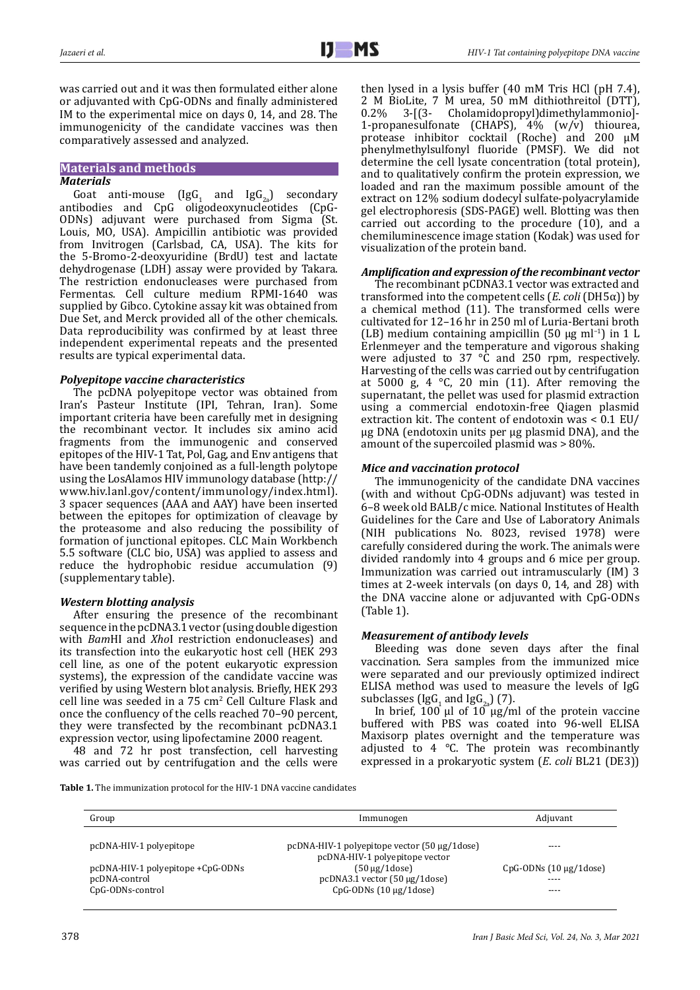was carried out and it was then formulated either alone or adjuvanted with CpG-ODNs and finally administered IM to the experimental mice on days 0, 14, and 28. The immunogenicity of the candidate vaccines was then comparatively assessed and analyzed.

#### **Materials and methods** *Materials*

Goat anti-mouse (IgG<sub>1</sub> and IgG<sub>2a</sub>) secondary antibodies and CpG oligodeoxynucleotides (CpG-ODNs) adjuvant were purchased from Sigma (St. Louis, MO, USA). Ampicillin antibiotic was provided from Invitrogen (Carlsbad, CA, USA). The kits for the 5-Bromo-2-deoxyuridine (BrdU) test and lactate dehydrogenase (LDH) assay were provided by Takara. The restriction endonucleases were purchased from Fermentas. Cell culture medium RPMI-1640 was supplied by Gibco. Cytokine assay kit was obtained from Due Set, and Merck provided all of the other chemicals. Data reproducibility was confirmed by at least three independent experimental repeats and the presented results are typical experimental data.

# *Polyepitope vaccine characteristics*

The pcDNA polyepitope vector was obtained from Iran's Pasteur Institute (IPI, Tehran, Iran). Some important criteria have been carefully met in designing the recombinant vector. It includes six amino acid fragments from the immunogenic and conserved epitopes of the HIV-1 Tat, Pol, Gag, and Env antigens that have been tandemly conjoined as a full-length polytope using the LosAlamos HIV immunology database [\(http://](http://www.hiv.lanl.gov/content/immunology/index.html) [www.hiv.lanl.gov/content/immunology/index.html\)](http://www.hiv.lanl.gov/content/immunology/index.html). 3 spacer sequences (AAA and AAY) have been inserted between the epitopes for optimization of cleavage by the proteasome and also reducing the possibility of formation of junctional epitopes. CLC Main Workbench 5.5 software (CLC bio, USA) was applied to assess and reduce the hydrophobic residue accumulation (9) (supplementary table).

# *Western blotting analysis*

After ensuring the presence of the recombinant sequence in the pcDNA3.1 vector (using double digestion with *Bam*HI and *Xho*I restriction endonucleases) and its transfection into the eukaryotic host cell (HEK 293 cell line, as one of the potent eukaryotic expression systems), the expression of the candidate vaccine was verified by using Western blot analysis. Briefly, HEK 293 cell line was seeded in a  $75 \text{ cm}^2$  Cell Culture Flask and once the confluency of the cells reached 70–90 percent, they were transfected by the recombinant pcDNA3.1 expression vector, using lipofectamine 2000 reagent.

48 and 72 hr post transfection, cell harvesting was carried out by centrifugation and the cells were then lysed in a lysis buffer (40 mM Tris HCl (pH 7.4), 2 M BioLite, 7 M urea, 50 mM dithiothreitol (DTT), 0.2% 3-[(3- Cholamidopropyl)dimethylammonio]-0.2% 3-[(3- Cholamidopropyl)dimethylammonio]- 1-propanesulfonate (CHAPS), 4% (w/v) thiourea, protease inhibitor cocktail (Roche) and 200 µM phenylmethylsulfonyl fluoride (PMSF). We did not determine the cell lysate concentration (total protein), and to qualitatively confirm the protein expression, we loaded and ran the maximum possible amount of the extract on 12% sodium dodecyl sulfate-polyacrylamide gel electrophoresis (SDS-PAGE) well. Blotting was then carried out according to the procedure (10), and a chemiluminescence image station (Kodak) was used for visualization of the protein band.

# *Amplification and expression of the recombinant vector*

The recombinant pCDNA3.1 vector was extracted and transformed into the competent cells (*E*. *coli* (DH5α)) by a chemical method (11). The transformed cells were cultivated for 12–16 hr in 250 ml of Luria-Bertani broth (LB) medium containing ampicillin (50 μg ml<sup>-1</sup>) in 1 L Erlenmeyer and the temperature and vigorous shaking were adjusted to 37 °C and 250 rpm, respectively. Harvesting of the cells was carried out by centrifugation at 5000 g, 4  $\degree$ C, 20 min (11). After removing the supernatant, the pellet was used for plasmid extraction using a commercial endotoxin-free Qiagen plasmid extraction kit. The content of endotoxin was < 0.1 EU/ µg DNA (endotoxin units per µg plasmid DNA), and the amount of the supercoiled plasmid was > 80%.

# *Mice and vaccination protocol*

The immunogenicity of the candidate DNA vaccines (with and without CpG-ODNs adjuvant) was tested in 6–8 week old BALB/c mice. National Institutes of Health Guidelines for the Care and Use of Laboratory Animals (NIH publications No. 8023, revised 1978) were carefully considered during the work. The animals were divided randomly into 4 groups and 6 mice per group. Immunization was carried out intramuscularly (IM) 3 times at 2-week intervals (on days 0, 14, and 28) with the DNA vaccine alone or adjuvanted with CpG-ODNs (Table 1).

# *Measurement of antibody levels*

Bleeding was done seven days after the final vaccination. Sera samples from the immunized mice were separated and our previously optimized indirect ELISA method was used to measure the levels of IgG subclasses (IgG<sub>1</sub> and IgG<sub>2a</sub>) (7).

In brief, 100 μl of 10 μg/ml of the protein vaccine buffered with PBS was coated into 96-well ELISA Maxisorp plates overnight and the temperature was adjusted to 4 °C. The protein was recombinantly expressed in a prokaryotic system (*E*. *coli* BL21 (DE3))

**Table 1.** The immunization protocol for the HIV-1 DNA vaccine candidates

| Group                             | Immunogen                                    | Adjuvant                   |
|-----------------------------------|----------------------------------------------|----------------------------|
|                                   |                                              |                            |
| pcDNA-HIV-1 polyepitope           | pcDNA-HIV-1 polyepitope vector (50 µg/1dose) | ----                       |
|                                   | pcDNA-HIV-1 polyepitope vector               |                            |
| pcDNA-HIV-1 polyepitope +CpG-ODNs | $(50 \mu g/1$ dose)                          | $CpG-ODNs(10 \mu g/1dose)$ |
| pcDNA-control                     | pcDNA3.1 vector (50 µg/1dose)                | $---$                      |
| CpG-ODNs-control                  | $CpG-ODNs(10 \mu g/1dose)$                   | ----                       |
|                                   |                                              |                            |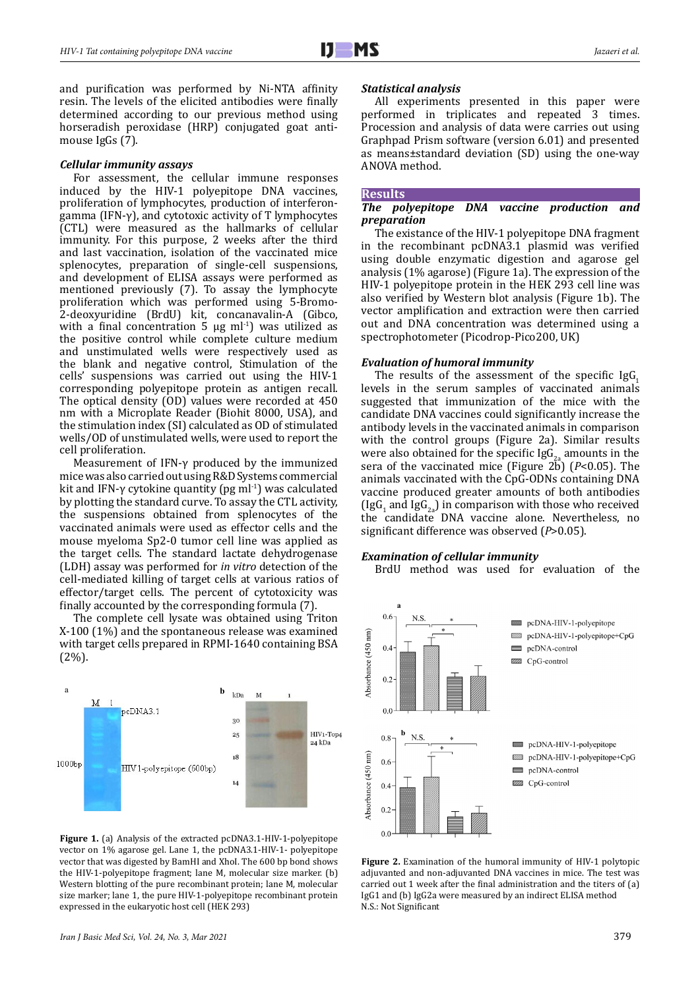and purification was performed by Ni-NTA affinity resin. The levels of the elicited antibodies were finally determined according to our previous method using horseradish peroxidase (HRP) conjugated goat antimouse IgGs (7).

### *Cellular immunity assays*

For assessment, the cellular immune responses induced by the HIV-1 polyepitope DNA vaccines, proliferation of lymphocytes, production of interferongamma (IFN-γ), and cytotoxic activity of T lymphocytes (CTL) were measured as the hallmarks of cellular immunity. For this purpose, 2 weeks after the third and last vaccination, isolation of the vaccinated mice splenocytes, preparation of single-cell suspensions, and development of ELISA assays were performed as mentioned previously (7). To assay the lymphocyte proliferation which was performed using 5-Bromo-2-deoxyuridine (BrdU) kit, concanavalin-A (Gibco, with a final concentration 5  $\mu$ g ml<sup>-1</sup>) was utilized as the positive control while complete culture medium and unstimulated wells were respectively used as the blank and negative control, Stimulation of the cells' suspensions was carried out using the HIV-1 corresponding polyepitope protein as antigen recall. The optical density (OD) values were recorded at 450 nm with a Microplate Reader (Biohit 8000, USA), and the stimulation index (SI) calculated as OD of stimulated wells/OD of unstimulated wells, were used to report the cell proliferation.

Measurement of IFN-γ produced by the immunized mice was also carried out using R&D Systems commercial kit and IFN-γ cytokine quantity (pg ml<sup>-1</sup>) was calculated by plotting the standard curve. To assay the CTL activity, the suspensions obtained from splenocytes of the vaccinated animals were used as effector cells and the mouse myeloma Sp2-0 tumor cell line was applied as the target cells. The standard lactate dehydrogenase (LDH) assay was performed for *in vitro* detection of the cell-mediated killing of target cells at various ratios of effector/target cells. The percent of cytotoxicity was finally accounted by the corresponding formula (7).

The complete cell lysate was obtained using Triton X-100 (1%) and the spontaneous release was examined with target cells prepared in RPMI-1640 containing BSA (2%).



**Figure 1.** (a) Analysis of the extracted pcDNA3.1-HIV-1-polyepitope vector on 1% agarose gel. Lane 1, the pcDNA3.1-HIV-1- polyepitope vector that was digested by BamHI and XhoI. The 600 bp bond shows the HIV-1-polyepitope fragment; lane M, molecular size marker. (b) Western blotting of the pure recombinant protein; lane M, molecular size marker; lane 1, the pure HIV-1-polyepitope recombinant protein expressed in the eukaryotic host cell (HEK 293)

## *Statistical analysis*

All experiments presented in this paper were performed in triplicates and repeated 3 times. Procession and analysis of data were carries out using Graphpad Prism software (version 6.01) and presented as means±standard deviation (SD) using the one-way ANOVA method.

#### **Results**

## *The polyepitope DNA vaccine production and preparation*

The existance of the HIV-1 polyepitope DNA fragment in the recombinant pcDNA3.1 plasmid was verified using double enzymatic digestion and agarose gel analysis (1% agarose) (Figure 1a). The expression of the HIV-1 polyepitope protein in the HEK 293 cell line was also verified by Western blot analysis (Figure 1b). The vector amplification and extraction were then carried out and DNA concentration was determined using a spectrophotometer (Picodrop-Pico200, UK)

### *Evaluation of humoral immunity*

The results of the assessment of the specific  $I_{\text{g}}(G)$ levels in the serum samples of vaccinated animals suggested that immunization of the mice with the candidate DNA vaccines could significantly increase the antibody levels in the vaccinated animals in comparison with the control groups (Figure 2a). Similar results were also obtained for the specific  $\text{lg}G_{2a}$  amounts in the sera of the vaccinated mice (Figure 2b) ( $P$ <0.05). The animals vaccinated with the CpG-ODNs containing DNA vaccine produced greater amounts of both antibodies (IgG<sub>1</sub> and IgG<sub>2a</sub>) in comparison with those who received the candidate DNA vaccine alone. Nevertheless, no significant difference was observed (*P*>0.05).

### *Examination of cellular immunity*

BrdU method was used for evaluation of the



**Figure 2.** Examination of the humoral immunity of HIV-1 polytopic adjuvanted and non-adjuvanted DNA vaccines in mice. The test was carried out 1 week after the final administration and the titers of (a) IgG1 and (b) IgG2a were measured by an indirect ELISA method N.S.: Not Significant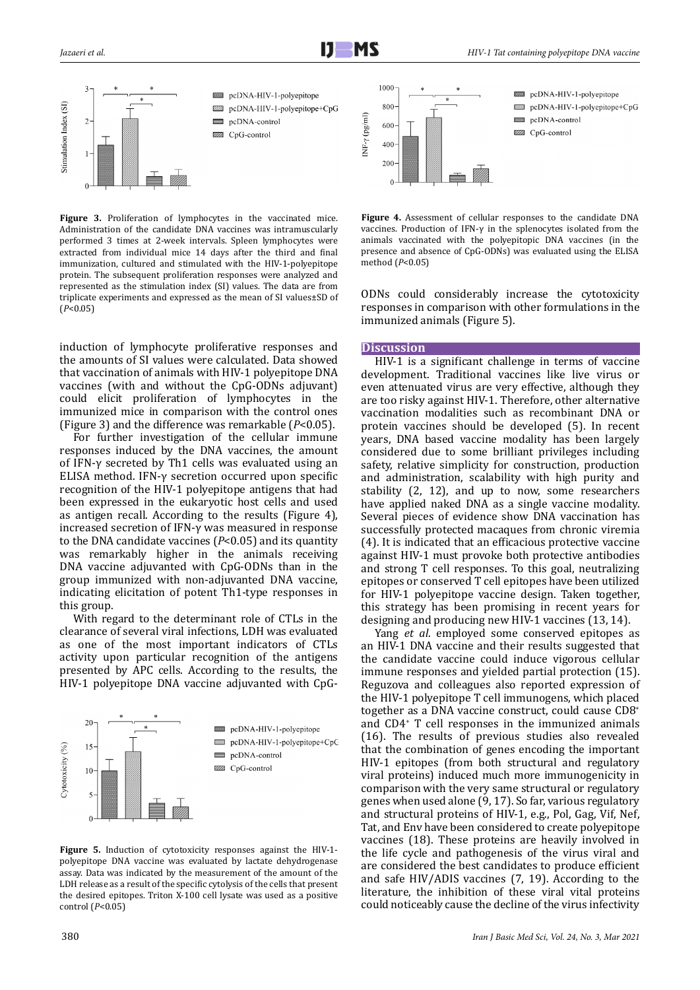

**Figure 3.** Proliferation of lymphocytes in the vaccinated mice. Administration of the candidate DNA vaccines was intramuscularly performed 3 times at 2-week intervals. Spleen lymphocytes were extracted from individual mice 14 days after the third and final immunization, cultured and stimulated with the HIV-1-polyepitope protein. The subsequent proliferation responses were analyzed and represented as the stimulation index (SI) values. The data are from triplicate experiments and expressed as the mean of SI values±SD of (*P*<0.05)

induction of lymphocyte proliferative responses and the amounts of SI values were calculated. Data showed that vaccination of animals with HIV-1 polyepitope DNA vaccines (with and without the CpG-ODNs adjuvant) could elicit proliferation of lymphocytes in the immunized mice in comparison with the control ones (Figure 3) and the difference was remarkable (*P*<0.05).

For further investigation of the cellular immune responses induced by the DNA vaccines, the amount of IFN-γ secreted by Th1 cells was evaluated using an ELISA method. IFN-γ secretion occurred upon specific recognition of the HIV-1 polyepitope antigens that had been expressed in the eukaryotic host cells and used as antigen recall. According to the results (Figure 4), increased secretion of IFN-γ was measured in response to the DNA candidate vaccines (*P*<0.05) and its quantity was remarkably higher in the animals receiving DNA vaccine adjuvanted with CpG-ODNs than in the group immunized with non-adjuvanted DNA vaccine, indicating elicitation of potent Th1-type responses in this group.

With regard to the determinant role of CTLs in the clearance of several viral infections, LDH was evaluated as one of the most important indicators of CTLs activity upon particular recognition of the antigens presented by APC cells. According to the results, the HIV-1 polyepitope DNA vaccine adjuvanted with CpG-



**Figure 5.** Induction of cytotoxicity responses against the HIV-1 polyepitope DNA vaccine was evaluated by lactate dehydrogenase assay. Data was indicated by the measurement of the amount of the LDH release as a result of the specific cytolysis of the cells that present the desired epitopes. Triton X-100 cell lysate was used as a positive control (*P*<0.05)



**Figure 4.** Assessment of cellular responses to the candidate DNA vaccines. Production of IFN-γ in the splenocytes isolated from the animals vaccinated with the polyepitopic DNA vaccines (in the presence and absence of CpG-ODNs) was evaluated using the ELISA method (*P*<0.05)

ODNs could considerably increase the cytotoxicity responses in comparison with other formulations in the immunized animals (Figure 5).

#### **Discussion**

HIV-1 is a significant challenge in terms of vaccine development. Traditional vaccines like live virus or even attenuated virus are very effective, although they are too risky against HIV-1. Therefore, other alternative vaccination modalities such as recombinant DNA or protein vaccines should be developed (5). In recent years, DNA based vaccine modality has been largely considered due to some brilliant privileges including safety, relative simplicity for construction, production and administration, scalability with high purity and stability (2, 12), and up to now, some researchers have applied naked DNA as a single vaccine modality. Several pieces of evidence show DNA vaccination has successfully protected macaques from chronic viremia (4). It is indicated that an efficacious protective vaccine against HIV-1 must provoke both protective antibodies and strong T cell responses. To this goal, neutralizing epitopes or conserved T cell epitopes have been utilized for HIV-1 polyepitope vaccine design. Taken together, this strategy has been promising in recent years for designing and producing new HIV-1 vaccines (13, 14).

Yang *et al*. employed some conserved epitopes as an HIV-1 DNA vaccine and their results suggested that the candidate vaccine could induce vigorous cellular immune responses and yielded partial protection (15). Reguzova and colleagues also reported expression of the HIV-1 polyepitope T cell immunogens, which placed together as a DNA vaccine construct, could cause CD8<sup>+</sup> and CD4+ T cell responses in the immunized animals (16). The results of previous studies also revealed that the combination of genes encoding the important HIV-1 epitopes (from both structural and regulatory viral proteins) induced much more immunogenicity in comparison with the very same structural or regulatory genes when used alone (9, 17). So far, various regulatory and structural proteins of HIV-1, e.g., Pol, Gag, Vif, Nef, Tat, and Env have been considered to create polyepitope vaccines (18). These proteins are heavily involved in the life cycle and pathogenesis of the virus viral and are considered the best candidates to produce efficient and safe HIV/ADIS vaccines (7, 19). According to the literature, the inhibition of these viral vital proteins could noticeably cause the decline of the virus infectivity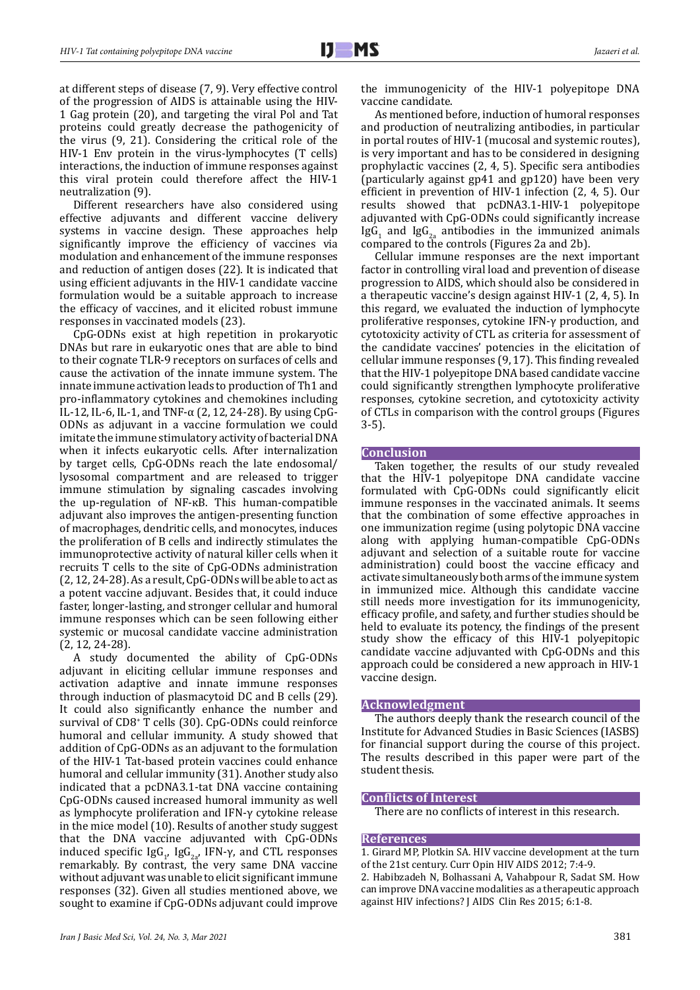at different steps of disease (7, 9). Very effective control of the progression of AIDS is attainable using the HIV-1 Gag protein (20), and targeting the viral Pol and Tat proteins could greatly decrease the pathogenicity of the virus (9, 21). Considering the critical role of the HIV-1 Env protein in the virus-lymphocytes (T cells) interactions, the induction of immune responses against this viral protein could therefore affect the HIV-1 neutralization (9).

Different researchers have also considered using effective adjuvants and different vaccine delivery systems in vaccine design. These approaches help significantly improve the efficiency of vaccines via modulation and enhancement of the immune responses and reduction of antigen doses (22). It is indicated that using efficient adjuvants in the HIV-1 candidate vaccine formulation would be a suitable approach to increase the efficacy of vaccines, and it elicited robust immune responses in vaccinated models (23).

CpG-ODNs exist at high repetition in prokaryotic DNAs but rare in eukaryotic ones that are able to bind to their cognate TLR-9 receptors on surfaces of cells and cause the activation of the innate immune system. The innate immune activation leads to production of Th1 and pro-inflammatory cytokines and chemokines including IL-12, IL-6, IL-1, and TNF-α (2, 12, 24-28). By using CpG-ODNs as adjuvant in a vaccine formulation we could imitate the immune stimulatory activity of bacterial DNA when it infects eukaryotic cells. After internalization by target cells, CpG-ODNs reach the late endosomal/ lysosomal compartment and are released to trigger immune stimulation by signaling cascades involving the up-regulation of NF-ĸB. This human-compatible adjuvant also improves the antigen-presenting function of macrophages, dendritic cells, and monocytes, induces the proliferation of B cells and indirectly stimulates the immunoprotective activity of natural killer cells when it recruits T cells to the site of CpG-ODNs administration (2, 12, 24-28). As a result, CpG-ODNs will be able to act as a potent vaccine adjuvant. Besides that, it could induce faster, longer-lasting, and stronger cellular and humoral immune responses which can be seen following either systemic or mucosal candidate vaccine administration (2, 12, 24-28).

A study documented the ability of CpG-ODNs adjuvant in eliciting cellular immune responses and activation adaptive and innate immune responses through induction of plasmacytoid DC and B cells (29). It could also significantly enhance the number and survival of CD8+ T cells (30). CpG-ODNs could reinforce humoral and cellular immunity. A study showed that addition of CpG-ODNs as an adjuvant to the formulation of the HIV-1 Tat-based protein vaccines could enhance humoral and cellular immunity (31). Another study also indicated that a pcDNA3.1-tat DNA vaccine containing CpG-ODNs caused increased humoral immunity as well as lymphocyte proliferation and IFN-γ cytokine release in the mice model (10). Results of another study suggest that the DNA vaccine adjuvanted with CpG-ODNs induced specific  $\log_{1}$ ,  $\log_{2a}$ , IFN-y, and CTL responses remarkably. By contrast, the very same DNA vaccine without adjuvant was unable to elicit significant immune responses (32). Given all studies mentioned above, we sought to examine if CpG-ODNs adjuvant could improve

the immunogenicity of the HIV-1 polyepitope DNA vaccine candidate.

As mentioned before, induction of humoral responses and production of neutralizing antibodies, in particular in portal routes of HIV-1 (mucosal and systemic routes), is very important and has to be considered in designing prophylactic vaccines (2, 4, 5). Specific sera antibodies (particularly against gp41 and gp120) have been very efficient in prevention of HIV-1 infection (2, 4, 5). Our results showed that pcDNA3.1-HIV-1 polyepitope adjuvanted with CpG-ODNs could significantly increase  $\lg G_1$  and  $\lg G_{2a}$  antibodies in the immunized animals compared to the controls (Figures 2a and 2b).

Cellular immune responses are the next important factor in controlling viral load and prevention of disease progression to AIDS, which should also be considered in a therapeutic vaccine's design against HIV-1 (2, 4, 5). In this regard, we evaluated the induction of lymphocyte proliferative responses, cytokine IFN-γ production, and cytotoxicity activity of CTL as criteria for assessment of the candidate vaccines' potencies in the elicitation of cellular immune responses (9, 17). This finding revealed that the HIV-1 polyepitope DNA based candidate vaccine could significantly strengthen lymphocyte proliferative responses, cytokine secretion, and cytotoxicity activity of CTLs in comparison with the control groups (Figures 3-5).

## **Conclusion**

Taken together, the results of our study revealed that the HIV-1 polyepitope DNA candidate vaccine formulated with CpG-ODNs could significantly elicit immune responses in the vaccinated animals. It seems that the combination of some effective approaches in one immunization regime (using polytopic DNA vaccine along with applying human-compatible CpG-ODNs adjuvant and selection of a suitable route for vaccine administration) could boost the vaccine efficacy and activate simultaneously both arms of the immune system in immunized mice. Although this candidate vaccine still needs more investigation for its immunogenicity, efficacy profile, and safety, and further studies should be held to evaluate its potency, the findings of the present study show the efficacy of this HIV-1 polyepitopic candidate vaccine adjuvanted with CpG-ODNs and this approach could be considered a new approach in HIV-1 vaccine design.

### **Acknowledgment**

The authors deeply thank the research council of the Institute for Advanced Studies in Basic Sciences (IASBS) for financial support during the course of this project. The results described in this paper were part of the student thesis.

## **Conflicts of Interest**

There are no conflicts of interest in this research.

## **References**

1. Girard MP, Plotkin SA. HIV vaccine development at the turn of the 21st century. Curr Opin HIV AIDS 2012; 7:4-9. 2. Habibzadeh N, Bolhassani A, Vahabpour R, Sadat SM. How

can improve DNA vaccine modalities as a therapeutic approach

against HIV infections? J AIDS Clin Res 2015; 6:1-8.